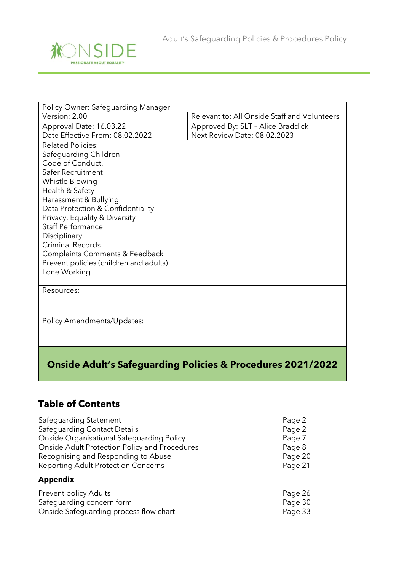

| Policy Owner: Safeguarding Manager                                     |                                              |  |  |  |
|------------------------------------------------------------------------|----------------------------------------------|--|--|--|
| Version: 2.00                                                          | Relevant to: All Onside Staff and Volunteers |  |  |  |
| Approval Date: 16.03.22                                                | Approved By: SLT - Alice Braddick            |  |  |  |
| Date Effective From: 08.02.2022                                        | Next Review Date: 08.02.2023                 |  |  |  |
| <b>Related Policies:</b>                                               |                                              |  |  |  |
| Safeguarding Children                                                  |                                              |  |  |  |
| Code of Conduct,                                                       |                                              |  |  |  |
| Safer Recruitment                                                      |                                              |  |  |  |
| Whistle Blowing                                                        |                                              |  |  |  |
| Health & Safety                                                        |                                              |  |  |  |
| Harassment & Bullying                                                  |                                              |  |  |  |
| Data Protection & Confidentiality                                      |                                              |  |  |  |
| Privacy, Equality & Diversity                                          |                                              |  |  |  |
| <b>Staff Performance</b>                                               |                                              |  |  |  |
| Disciplinary                                                           |                                              |  |  |  |
| <b>Criminal Records</b>                                                |                                              |  |  |  |
| Complaints Comments & Feedback                                         |                                              |  |  |  |
| Prevent policies (children and adults)                                 |                                              |  |  |  |
| Lone Working                                                           |                                              |  |  |  |
| Resources:                                                             |                                              |  |  |  |
| Policy Amendments/Updates:                                             |                                              |  |  |  |
| <b>Onside Adult's Safeguarding Policies &amp; Procedures 2021/2022</b> |                                              |  |  |  |

## **Table of Contents**

| Safequarding Statement                        | Page 2  |
|-----------------------------------------------|---------|
| <b>Safeguarding Contact Details</b>           | Page 2  |
| Onside Organisational Safeguarding Policy     | Page 7  |
| Onside Adult Protection Policy and Procedures | Page 8  |
| Recognising and Responding to Abuse           | Page 20 |
| <b>Reporting Adult Protection Concerns</b>    | Page 21 |
| <b>Appendix</b>                               |         |
| <b>Prevent policy Adults</b>                  | Page 26 |
| Safeguarding concern form                     | Page 30 |
| Onside Safequarding process flow chart        | Page 33 |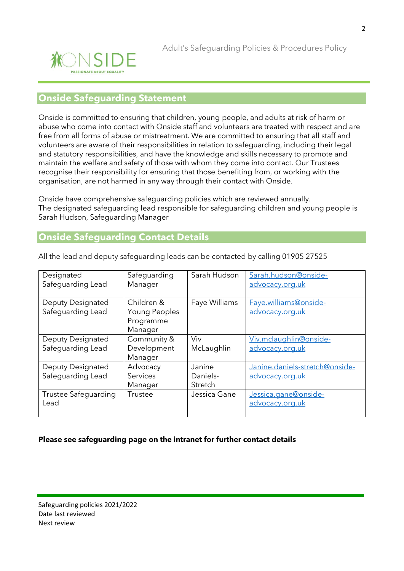

### **Onside Safeguarding Statement**

Onside is committed to ensuring that children, young people, and adults at risk of harm or abuse who come into contact with Onside staff and volunteers are treated with respect and are free from all forms of abuse or mistreatment. We are committed to ensuring that all staff and volunteers are aware of their responsibilities in relation to safeguarding, including their legal and statutory responsibilities, and have the knowledge and skills necessary to promote and maintain the welfare and safety of those with whom they come into contact. Our Trustees recognise their responsibility for ensuring that those benefiting from, or working with the organisation, are not harmed in any way through their contact with Onside.

Onside have comprehensive safeguarding policies which are reviewed annually. The designated safeguarding lead responsible for safeguarding children and young people is Sarah Hudson, Safeguarding Manager

### **Onside Safeguarding Contact Details**

| Designated<br>Safeguarding Lead        | Safeguarding<br>Manager                             | Sarah Hudson                  | Sarah.hudson@onside-<br>advocacy.org.uk           |
|----------------------------------------|-----------------------------------------------------|-------------------------------|---------------------------------------------------|
| Deputy Designated<br>Safeguarding Lead | Children &<br>Young Peoples<br>Programme<br>Manager | Faye Williams                 | Faye.williams@onside-<br>advocacy.org.uk          |
| Deputy Designated<br>Safeguarding Lead | Community &<br>Development<br>Manager               | Viv<br>McLaughlin             | Viv.mclaughlin@onside-<br>advocacy.org.uk         |
| Deputy Designated<br>Safeguarding Lead | Advocacy<br>Services<br>Manager                     | Janine<br>Daniels-<br>Stretch | Janine.daniels-stretch@onside-<br>advocacy.org.uk |
| Trustee Safequarding<br>Lead           | Trustee                                             | Jessica Gane                  | Jessica.gane@onside-<br>advocacy.org.uk           |

All the lead and deputy safeguarding leads can be contacted by calling 01905 27525

#### **Please see safeguarding page on the intranet for further contact details**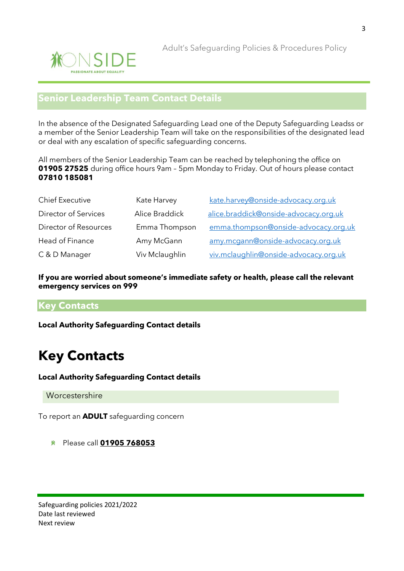

## **Senior Leadership Team Contact Details**

In the absence of the Designated Safeguarding Lead one of the Deputy Safeguarding Leadss or a member of the Senior Leadership Team will take on the responsibilities of the designated lead or deal with any escalation of specific safeguarding concerns.

All members of the Senior Leadership Team can be reached by telephoning the office on **01905 27525** during office hours 9am – 5pm Monday to Friday. Out of hours please contact **07810 185081**

| <b>Chief Executive</b> | Kate Harvey    | kate.harvey@onside-advocacy.org.uk    |  |  |
|------------------------|----------------|---------------------------------------|--|--|
| Director of Services   | Alice Braddick | alice.braddick@onside-advocacy.org.uk |  |  |
| Director of Resources  | Emma Thompson  | emma.thompson@onside-advocacy.org.uk  |  |  |
| Head of Finance        | Amy McGann     | amy.mcgann@onside-advocacy.org.uk     |  |  |
| C & D Manager          | Viv Mclaughlin | viv.mclaughlin@onside-advocacy.org.uk |  |  |

**If you are worried about someone's immediate safety or health, please call the relevant emergency services on 999**

### **Key Contacts**

**Local Authority Safeguarding Contact details**

# **Key Contacts**

**Local Authority Safeguarding Contact details**

**Worcestershire** 

To report an **ADULT** safeguarding concern

Please call **[01905 768053](tel:01905%20768053)**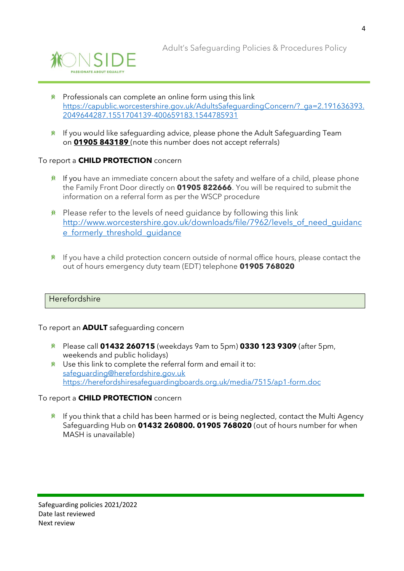

- **K** Professionals can complete an online form using this link [https://capublic.worcestershire.gov.uk/AdultsSafeguardingConcern/?\\_ga=2.191636393.](https://capublic.worcestershire.gov.uk/AdultsSafeguardingConcern/?_ga=2.191636393.2049644287.1551704139-400659183.1544785931) [2049644287.1551704139-400659183.1544785931](https://capublic.worcestershire.gov.uk/AdultsSafeguardingConcern/?_ga=2.191636393.2049644287.1551704139-400659183.1544785931)
- $*$  If you would like safeguarding advice, please phone the Adult Safeguarding Team on **[01905 843189](tel:01905%20843189)** (note this number does not accept referrals)

#### To report a **CHILD PROTECTION** concern

- $*$  If you have an immediate concern about the safety and welfare of a child, please phone the Family Front Door directly on **01905 822666**. You will be required to submit the information on a referral form as per the WSCP procedure
- $*$  Please refer to the levels of need quidance by following this link [http://www.worcestershire.gov.uk/downloads/file/7962/levels\\_of\\_need\\_guidanc](http://www.worcestershire.gov.uk/downloads/file/7962/levels_of_need_guidance_formerly_threshold_guidance) e formerly threshold quidance
- $*$  If you have a child protection concern outside of normal office hours, please contact the out of hours emergency duty team (EDT) telephone **01905 768020**

#### Herefordshire

To report an **ADULT** safeguarding concern

- Please call **01432 260715** (weekdays 9am to 5pm) **0330 123 9309** (after 5pm, weekends and public holidays)
- $*$  Use this link to complete the referral form and email it to: [safeguarding@herefordshire.gov.uk](mailto:safeguarding@herefordshire.gov.uk) <https://herefordshiresafeguardingboards.org.uk/media/7515/ap1-form.doc>

#### To report a **CHILD PROTECTION** concern

 $*$  If you think that a child has been harmed or is being neglected, contact the Multi Agency Safeguarding Hub on **01432 260800. 01905 768020** (out of hours number for when MASH is unavailable)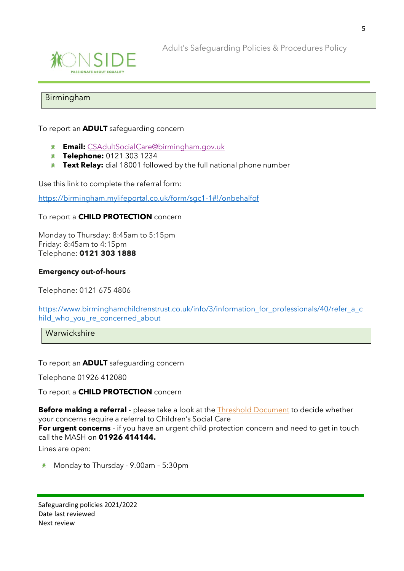

Adult's Safeguarding Policies & Procedures Policy

#### Birmingham

To report an **ADULT** safeguarding concern

- **Email:** [CSAdultSocialCare@birmingham.gov.uk](mailto:CSAdultSocialCare@birmingham.gov.uk)
- **Telephone:** 0121 303 1234
- **Text Relay:** dial 18001 followed by the full national phone number

Use this link to complete the referral form:

<https://birmingham.mylifeportal.co.uk/form/sgc1-1#!/onbehalfof>

#### To report a **CHILD PROTECTION** concern

Monday to Thursday: 8:45am to 5:15pm Friday: 8:45am to 4:15pm Telephone: **0121 303 1888**

#### **Emergency out-of-hours**

Telephone: 0121 675 4806

[https://www.birminghamchildrenstrust.co.uk/info/3/information\\_for\\_professionals/40/refer\\_a\\_c](https://www.birminghamchildrenstrust.co.uk/info/3/information_for_professionals/40/refer_a_child_who_you_re_concerned_about) hild who you re concerned about

**Warwickshire** 

To report an **ADULT** safeguarding concern

Telephone 01926 412080

To report a **CHILD PROTECTION** concern

**Before making a referral** - please take a look at the **Threshold Document** to decide whether your concerns require a referral to Children's Social Care **For urgent concerns** - if you have an urgent child protection concern and need to get in touch call the MASH on **01926 414144.**

Lines are open:

Monday to Thursday - 9.00am – 5:30pm兼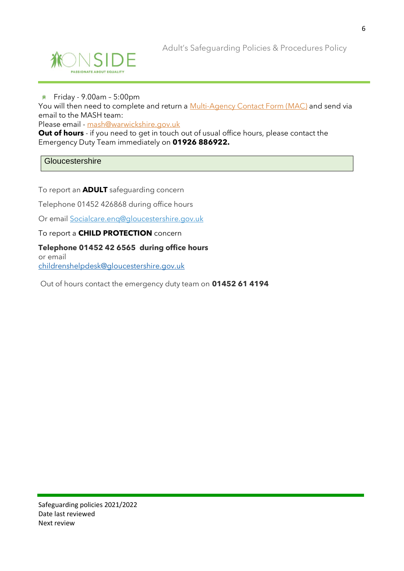



#### 兼 Friday - 9.00am – 5:00pm

You will then need to complete and return a [Multi-Agency Contact Form \(MAC\)](https://www.safeguardingwarwickshire.co.uk/downloads/MAC-2020-FINAL-23-9-20.docx) and send via email to the MASH team:

Please email - [mash@warwickshire.gov.uk](mailto:mash@warwickshire.gov.uk)

**Out of hours** - if you need to get in touch out of usual office hours, please contact the Emergency Duty Team immediately on **01926 886922.**

**Gloucestershire** 

To report an **ADULT** safeguarding concern

Telephone 01452 426868 during office hours

Or email [Socialcare.enq@gloucestershire.gov.uk](mailto:Socialcare.enq@gloucestershire.gov.uk)

#### To report a **CHILD PROTECTION** concern

**Telephone 01452 42 6565 during office hours** or email [childrenshelpdesk@gloucestershire.gov.uk](mailto:childrenshelpdesk@gloucestershire.gov.uk)

Out of hours contact the emergency duty team on **01452 61 4194**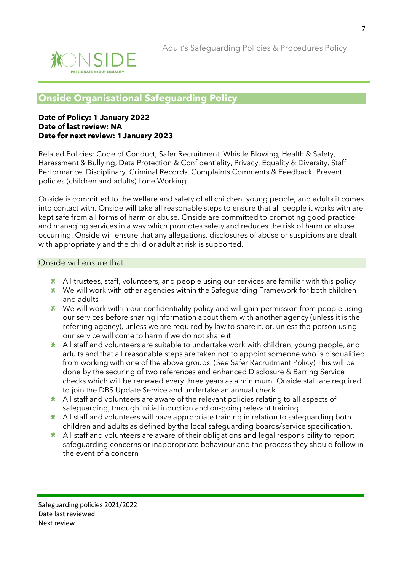![](_page_6_Picture_1.jpeg)

## **Onside Organisational Safeguarding Policy**

#### **Date of Policy: 1 January 2022 Date of last review: NA Date for next review: 1January 2023**

Related Policies: Code of Conduct, Safer Recruitment, Whistle Blowing, Health & Safety, Harassment & Bullying, Data Protection & Confidentiality, Privacy, Equality & Diversity, Staff Performance, Disciplinary, Criminal Records, Complaints Comments & Feedback, Prevent policies (children and adults) Lone Working.

Onside is committed to the welfare and safety of all children, young people, and adults it comes into contact with. Onside will take all reasonable steps to ensure that all people it works with are kept safe from all forms of harm or abuse. Onside are committed to promoting good practice and managing services in a way which promotes safety and reduces the risk of harm or abuse occurring. Onside will ensure that any allegations, disclosures of abuse or suspicions are dealt with appropriately and the child or adult at risk is supported.

#### Onside will ensure that

- $*$  All trustees, staff, volunteers, and people using our services are familiar with this policy
- **\*** We will work with other agencies within the Safeguarding Framework for both children and adults
- **We will work within our confidentiality policy and will gain permission from people using** our services before sharing information about them with another agency (unless it is the referring agency), unless we are required by law to share it, or, unless the person using our service will come to harm if we do not share it
- All staff and volunteers are suitable to undertake work with children, young people, and 兼 adults and that all reasonable steps are taken not to appoint someone who is disqualified from working with one of the above groups. (See Safer Recruitment Policy) This will be done by the securing of two references and enhanced Disclosure & Barring Service checks which will be renewed every three years as a minimum. Onside staff are required to join the DBS Update Service and undertake an annual check
- $*$  All staff and volunteers are aware of the relevant policies relating to all aspects of safeguarding, through initial induction and on-going relevant training
- **All staff and volunteers will have appropriate training in relation to safeguarding both** children and adults as defined by the local safeguarding boards/service specification.
- All staff and volunteers are aware of their obligations and legal responsibility to report 賽 safeguarding concerns or inappropriate behaviour and the process they should follow in the event of a concern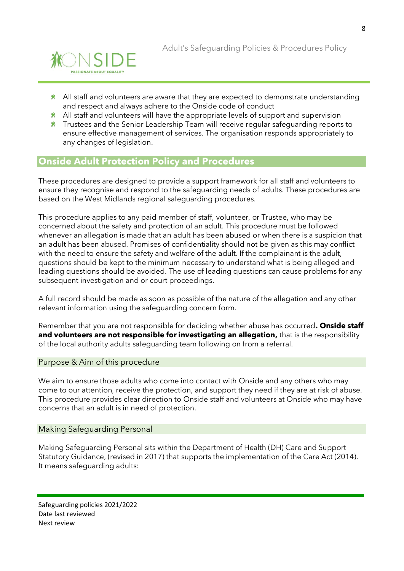![](_page_7_Picture_0.jpeg)

- $*$  All staff and volunteers are aware that they are expected to demonstrate understanding and respect and always adhere to the Onside code of conduct
- **All staff and volunteers will have the appropriate levels of support and supervision**
- **\*** Trustees and the Senior Leadership Team will receive regular safequarding reports to ensure effective management of services. The organisation responds appropriately to any changes of legislation.

## **Onside Adult Protection Policy and Procedures**

These procedures are designed to provide a support framework for all staff and volunteers to ensure they recognise and respond to the safeguarding needs of adults. These procedures are based on the West Midlands regional safeguarding procedures.

This procedure applies to any paid member of staff, volunteer, or Trustee, who may be concerned about the safety and protection of an adult. This procedure must be followed whenever an allegation is made that an adult has been abused or when there is a suspicion that an adult has been abused. Promises of confidentiality should not be given as this may conflict with the need to ensure the safety and welfare of the adult. If the complainant is the adult, questions should be kept to the minimum necessary to understand what is being alleged and leading questions should be avoided. The use of leading questions can cause problems for any subsequent investigation and or court proceedings.

A full record should be made as soon as possible of the nature of the allegation and any other relevant information using the safeguarding concern form.

Remember that you are not responsible for deciding whether abuse has occurred**. Onside staff and volunteers are not responsible for investigating an allegation,** that is the responsibility of the local authority adults safeguarding team following on from a referral.

#### Purpose & Aim of this procedure

We aim to ensure those adults who come into contact with Onside and any others who may come to our attention, receive the protection, and support they need if they are at risk of abuse. This procedure provides clear direction to Onside staff and volunteers at Onside who may have concerns that an adult is in need of protection.

#### Making Safeguarding Personal

Making Safeguarding Personal sits within the Department of Health (DH) Care and Support Statutory Guidance, (revised in 2017) that supports the implementation of the Care Act (2014). It means safeguarding adults: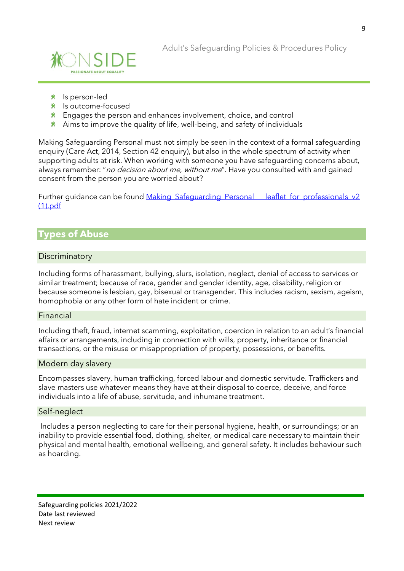![](_page_8_Picture_1.jpeg)

- *M* Is person-led
- <u>**<u></u><sup>***ki***</sub> Is outcome-focused</u></u>**</sup>
- $*$  Engages the person and enhances involvement, choice, and control
- $*$  Aims to improve the quality of life, well-being, and safety of individuals

Making Safeguarding Personal must not simply be seen in the context of a formal safeguarding enquiry (Care Act, 2014, Section 42 enquiry), but also in the whole spectrum of activity when supporting adults at risk. When working with someone you have safeguarding concerns about, always remember: "no decision about me, without me". Have you consulted with and gained consent from the person you are worried about?

Further quidance can be found Making Safeguarding Personal Leaflet for professionals v2 [\(1\).pdf](file://///dc/users/Sarah%20hudson/SarahHudson/Advocacy%20team%20meeting/Making_Safeguarding_Personal___leaflet_for_professionals_v2%20(1).pdf)

## **Types of Abuse**

#### **Discriminatory**

Including forms of harassment, bullying, slurs, isolation, neglect, denial of access to services or similar treatment; because of race, gender and gender identity, age, disability, religion or because someone is lesbian, gay, bisexual or transgender. This includes racism, sexism, ageism, homophobia or any other form of hate incident or crime.

#### Financial

Including theft, fraud, internet scamming, exploitation, coercion in relation to an adult's financial affairs or arrangements, including in connection with wills, property, inheritance or financial transactions, or the misuse or misappropriation of property, possessions, or benefits.

#### Modern day slavery

Encompasses slavery, human trafficking, forced labour and domestic servitude. Traffickers and slave masters use whatever means they have at their disposal to coerce, deceive, and force individuals into a life of abuse, servitude, and inhumane treatment.

#### Self-neglect

Includes a person neglecting to care for their personal hygiene, health, or surroundings; or an inability to provide essential food, clothing, shelter, or medical care necessary to maintain their physical and mental health, emotional wellbeing, and general safety. It includes behaviour such as hoarding.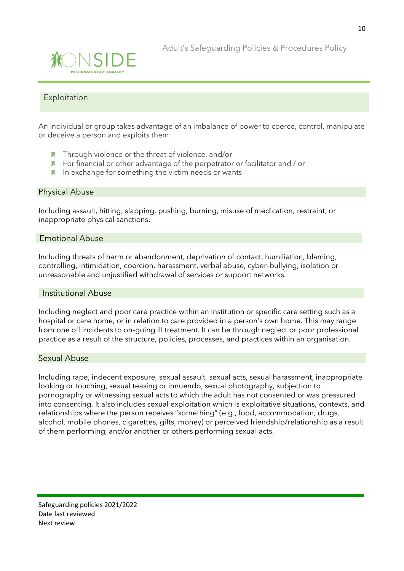![](_page_9_Picture_0.jpeg)

#### Exploitation

An individual or group takes advantage of an imbalance of power to coerce, control, manipulate or deceive a person and exploits them:

- **K** Through violence or the threat of violence, and/or
- $*$  For financial or other advantage of the perpetrator or facilitator and / or
- $*$  In exchange for something the victim needs or wants

#### Physical Abuse

Including assault, hitting, slapping, pushing, burning, misuse of medication, restraint, or inappropriate physical sanctions.

#### Emotional Abuse

Including threats of harm or abandonment, deprivation of contact, humiliation, blaming, controlling, intimidation, coercion, harassment, verbal abuse, cyber-bullying, isolation or unreasonable and unjustified withdrawal of services or support networks.

#### Institutional Abuse

Including neglect and poor care practice within an institution or specific care setting such as a hospital or care home, or in relation to care provided in a person's own home. This may range from one off incidents to on-going ill treatment. It can be through neglect or poor professional practice as a result of the structure, policies, processes, and practices within an organisation.

#### Sexual Abuse

Including rape, indecent exposure, sexual assault, sexual acts, sexual harassment, inappropriate looking or touching, sexual teasing or innuendo, sexual photography, subjection to pornography or witnessing sexual acts to which the adult has not consented or was pressured into consenting. It also includes sexual exploitation which is exploitative situations, contexts, and relationships where the person receives "something" (e.g., food, accommodation, drugs, alcohol, mobile phones, cigarettes, gifts, money) or perceived friendship/relationship as a result of them performing, and/or another or others performing sexual acts.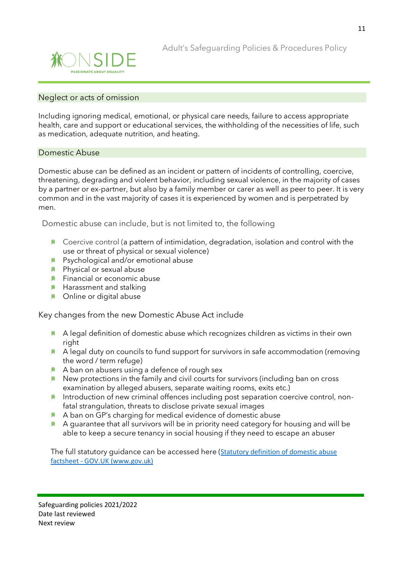![](_page_10_Picture_0.jpeg)

#### Neglect or acts of omission

Including ignoring medical, emotional, or physical care needs, failure to access appropriate health, care and support or educational services, the withholding of the necessities of life, such as medication, adequate nutrition, and heating.

#### Domestic Abuse

Domestic abuse can be defined as an incident or pattern of incidents of controlling, coercive, threatening, degrading and violent behavior, including sexual violence, in the majority of cases by a partner or ex-partner, but also by a family member or carer as well as peer to peer. It is very common and in the vast majority of cases it is experienced by women and is perpetrated by men.

Domestic abuse can include, but is not limited to, the following

- $*$  Coercive control (a pattern of intimidation, degradation, isolation and control with the use or threat of physical or sexual violence)
- Psychological and/or emotional abuse
- Physical or sexual abuse
- **K** Financial or economic abuse
- $*$  Harassment and stalking
- Online or digital abuse

Key changes from the new Domestic Abuse Act include

- \* A legal definition of domestic abuse which recognizes children as victims in their own right
- $*$  A legal duty on councils to fund support for survivors in safe accommodation (removing the word / term refuge)
- $*$  A ban on abusers using a defence of rough sex
- **\*** New protections in the family and civil courts for survivors (including ban on cross examination by alleged abusers, separate waiting rooms, exits etc.)
- **Introduction of new criminal offences including post separation coercive control, non**fatal strangulation, threats to disclose private sexual images
- A ban on GP's charging for medical evidence of domestic abuse
- $*$  A quarantee that all survivors will be in priority need category for housing and will be able to keep a secure tenancy in social housing if they need to escape an abuser

The full statutory guidance can be accessed here ([Statutory definition of domestic abuse](https://www.gov.uk/government/publications/domestic-abuse-bill-2020-factsheets/statutory-definition-of-domestic-abuse-factsheet)  factsheet - [GOV.UK \(www.gov.uk\)](https://www.gov.uk/government/publications/domestic-abuse-bill-2020-factsheets/statutory-definition-of-domestic-abuse-factsheet)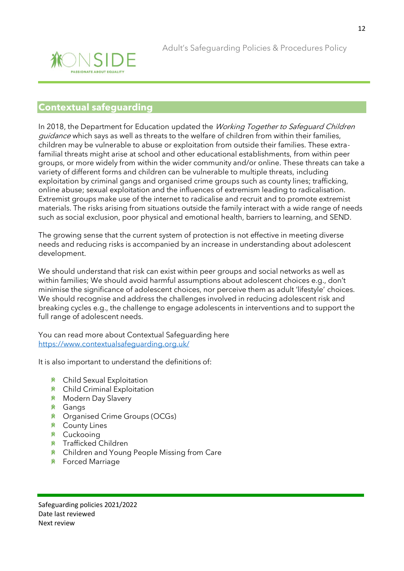![](_page_11_Picture_1.jpeg)

## **Contextual safeguarding**

In 2018, the Department for Education updated the Working Together to Safeguard Children guidance which says as well as threats to the welfare of children from within their families, children may be vulnerable to abuse or exploitation from outside their families. These extrafamilial threats might arise at school and other educational establishments, from within peer groups, or more widely from within the wider community and/or online. These threats can take a variety of different forms and children can be vulnerable to multiple threats, including exploitation by criminal gangs and organised crime groups such as county lines; trafficking, online abuse; sexual exploitation and the influences of extremism leading to radicalisation. Extremist groups make use of the internet to radicalise and recruit and to promote extremist materials. The risks arising from situations outside the family interact with a wide range of needs such as social exclusion, poor physical and emotional health, barriers to learning, and SEND.

The growing sense that the current system of protection is not effective in meeting diverse needs and reducing risks is accompanied by an increase in understanding about adolescent development.

We should understand that risk can exist within peer groups and social networks as well as within families; We should avoid harmful assumptions about adolescent choices e.g., don't minimise the significance of adolescent choices, nor perceive them as adult 'lifestyle' choices. We should recognise and address the challenges involved in reducing adolescent risk and breaking cycles e.g., the challenge to engage adolescents in interventions and to support the full range of adolescent needs.

You can read more about Contextual Safeguarding here <https://www.contextualsafeguarding.org.uk/>

It is also important to understand the definitions of:

- Child Sexual Exploitation
- Child Criminal Exploitation
- **K** Modern Day Slavery
- **K** Gangs
- Organised Crime Groups (OCGs)
- **K** County Lines
- Cuckooing
- Trafficked Children
- **K** Children and Young People Missing from Care
- **K** Forced Marriage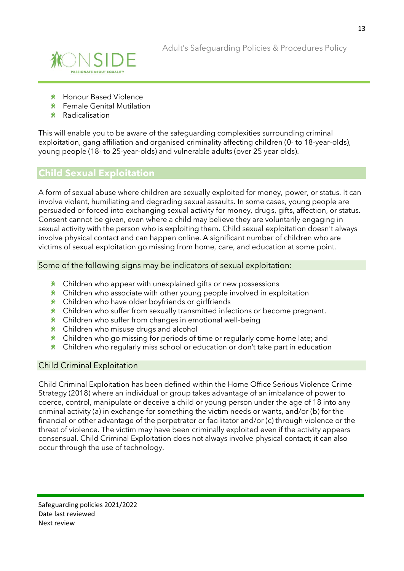![](_page_12_Picture_1.jpeg)

- Honour Based Violence
- Female Genital Mutilation
- Radicalisation

This will enable you to be aware of the safeguarding complexities surrounding criminal exploitation, gang affiliation and organised criminality affecting children (0- to 18-year-olds), young people (18- to 25-year-olds) and vulnerable adults (over 25 year olds).

## **Child Sexual Exploitation**

A form of sexual abuse where children are sexually exploited for money, power, or status. It can involve violent, humiliating and degrading sexual assaults. In some cases, young people are persuaded or forced into exchanging sexual activity for money, drugs, gifts, affection, or status. Consent cannot be given, even where a child may believe they are voluntarily engaging in sexual activity with the person who is exploiting them. Child sexual exploitation doesn't always involve physical contact and can happen online. A significant number of children who are victims of sexual exploitation go missing from home, care, and education at some point.

Some of the following signs may be indicators of sexual exploitation:

- $*$  Children who appear with unexplained gifts or new possessions
- $*$  Children who associate with other young people involved in exploitation
- **K** Children who have older boyfriends or girlfriends
- **\*** Children who suffer from sexually transmitted infections or become pregnant.
- $*$  Children who suffer from changes in emotional well-being
- Children who misuse drugs and alcohol
- **K** Children who go missing for periods of time or regularly come home late; and
- $*$  Children who regularly miss school or education or don't take part in education

#### Child Criminal Exploitation

Child Criminal Exploitation has been defined within the Home Office Serious Violence Crime Strategy (2018) where an individual or group takes advantage of an imbalance of power to coerce, control, manipulate or deceive a child or young person under the age of 18 into any criminal activity (a) in exchange for something the victim needs or wants, and/or (b) for the financial or other advantage of the perpetrator or facilitator and/or (c) through violence or the threat of violence. The victim may have been criminally exploited even if the activity appears consensual. Child Criminal Exploitation does not always involve physical contact; it can also occur through the use of technology.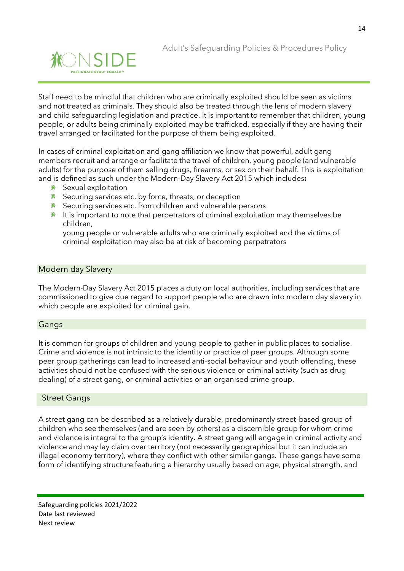![](_page_13_Picture_1.jpeg)

Staff need to be mindful that children who are criminally exploited should be seen as victims and not treated as criminals. They should also be treated through the lens of modern slavery and child safeguarding legislation and practice. It is important to remember that children, young people, or adults being criminally exploited may be trafficked, especially if they are having their travel arranged or facilitated for the purpose of them being exploited.

In cases of criminal exploitation and gang affiliation we know that powerful, adult gang members recruit and arrange or facilitate the travel of children, young people (and vulnerable adults) for the purpose of them selling drugs, firearms, or sex on their behalf. This is exploitation and is defined as such under the Modern-Day Slavery Act 2015 which includes**:** 

- <u>**<u></u> K** Sexual exploitation</u>
- **K** Securing services etc. by force, threats, or deception
- **K** Securing services etc. from children and vulnerable persons
- $*$  It is important to note that perpetrators of criminal exploitation may themselves be children,

young people or vulnerable adults who are criminally exploited and the victims of criminal exploitation may also be at risk of becoming perpetrators

#### Modern day Slavery

The Modern-Day Slavery Act 2015 places a duty on local authorities, including services that are commissioned to give due regard to support people who are drawn into modern day slavery in which people are exploited for criminal gain.

#### Gangs

It is common for groups of children and young people to gather in public places to socialise. Crime and violence is not intrinsic to the identity or practice of peer groups. Although some peer group gatherings can lead to increased anti-social behaviour and youth offending, these activities should not be confused with the serious violence or criminal activity (such as drug dealing) of a street gang, or criminal activities or an organised crime group.

#### Street Gangs

A street gang can be described as a relatively durable, predominantly street-based group of children who see themselves (and are seen by others) as a discernible group for whom crime and violence is integral to the group's identity. A street gang will engage in criminal activity and violence and may lay claim over territory (not necessarily geographical but it can include an illegal economy territory), where they conflict with other similar gangs. These gangs have some form of identifying structure featuring a hierarchy usually based on age, physical strength, and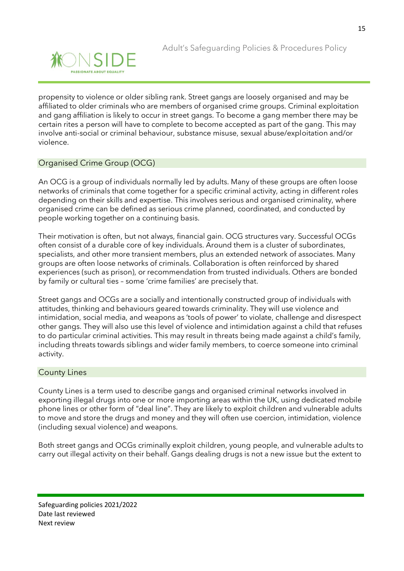![](_page_14_Picture_0.jpeg)

propensity to violence or older sibling rank. Street gangs are loosely organised and may be affiliated to older criminals who are members of organised crime groups. Criminal exploitation and gang affiliation is likely to occur in street gangs. To become a gang member there may be certain rites a person will have to complete to become accepted as part of the gang. This may involve anti-social or criminal behaviour, substance misuse, sexual abuse/exploitation and/or violence.

### Organised Crime Group (OCG)

An OCG is a group of individuals normally led by adults. Many of these groups are often loose networks of criminals that come together for a specific criminal activity, acting in different roles depending on their skills and expertise. This involves serious and organised criminality, where organised crime can be defined as serious crime planned, coordinated, and conducted by people working together on a continuing basis.

Their motivation is often, but not always, financial gain. OCG structures vary. Successful OCGs often consist of a durable core of key individuals. Around them is a cluster of subordinates, specialists, and other more transient members, plus an extended network of associates. Many groups are often loose networks of criminals. Collaboration is often reinforced by shared experiences (such as prison), or recommendation from trusted individuals. Others are bonded by family or cultural ties – some 'crime families' are precisely that.

Street gangs and OCGs are a socially and intentionally constructed group of individuals with attitudes, thinking and behaviours geared towards criminality. They will use violence and intimidation, social media, and weapons as 'tools of power' to violate, challenge and disrespect other gangs. They will also use this level of violence and intimidation against a child that refuses to do particular criminal activities. This may result in threats being made against a child's family, including threats towards siblings and wider family members, to coerce someone into criminal activity.

#### County Lines

County Lines is a term used to describe gangs and organised criminal networks involved in exporting illegal drugs into one or more importing areas within the UK, using dedicated mobile phone lines or other form of "deal line". They are likely to exploit children and vulnerable adults to move and store the drugs and money and they will often use coercion, intimidation, violence (including sexual violence) and weapons.

Both street gangs and OCGs criminally exploit children, young people, and vulnerable adults to carry out illegal activity on their behalf. Gangs dealing drugs is not a new issue but the extent to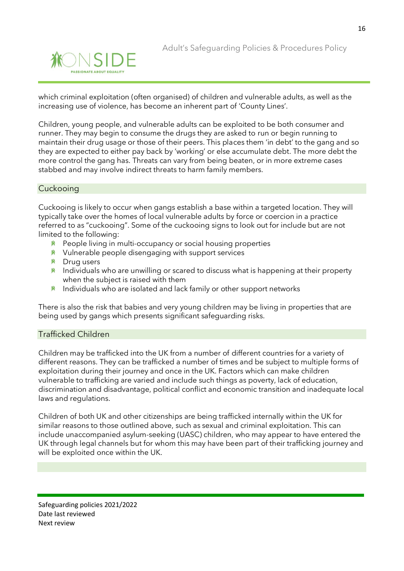![](_page_15_Picture_1.jpeg)

which criminal exploitation (often organised) of children and vulnerable adults, as well as the increasing use of violence, has become an inherent part of 'County Lines'.

Children, young people, and vulnerable adults can be exploited to be both consumer and runner. They may begin to consume the drugs they are asked to run or begin running to maintain their drug usage or those of their peers. This places them 'in debt' to the gang and so they are expected to either pay back by 'working' or else accumulate debt. The more debt the more control the gang has. Threats can vary from being beaten, or in more extreme cases stabbed and may involve indirect threats to harm family members.

#### **Cuckooing**

Cuckooing is likely to occur when gangs establish a base within a targeted location. They will typically take over the homes of local vulnerable adults by force or coercion in a practice referred to as "cuckooing". Some of the cuckooing signs to look out for include but are not limited to the following:

- **\*** People living in multi-occupancy or social housing properties
- $*$  Vulnerable people disengaging with support services
- **K** Drug users
- $*$  Individuals who are unwilling or scared to discuss what is happening at their property when the subject is raised with them
- $*$  Individuals who are isolated and lack family or other support networks

There is also the risk that babies and very young children may be living in properties that are being used by gangs which presents significant safeguarding risks.

#### Trafficked Children

Children may be trafficked into the UK from a number of different countries for a variety of different reasons. They can be trafficked a number of times and be subject to multiple forms of exploitation during their journey and once in the UK. Factors which can make children vulnerable to trafficking are varied and include such things as poverty, lack of education, discrimination and disadvantage, political conflict and economic transition and inadequate local laws and regulations.

Children of both UK and other citizenships are being trafficked internally within the UK for similar reasons to those outlined above, such as sexual and criminal exploitation. This can include unaccompanied asylum-seeking (UASC) children, who may appear to have entered the UK through legal channels but for whom this may have been part of their trafficking journey and will be exploited once within the UK.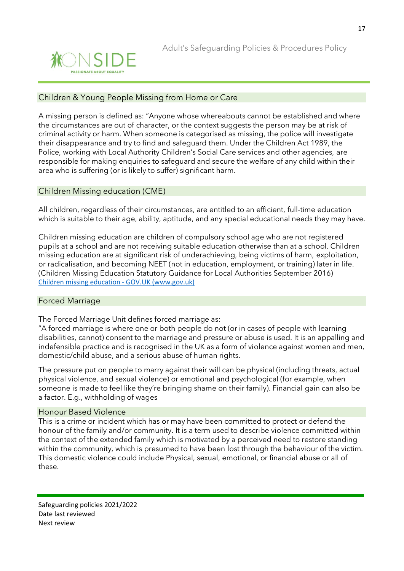![](_page_16_Picture_1.jpeg)

#### Children & Young People Missing from Home or Care

A missing person is defined as: "Anyone whose whereabouts cannot be established and where the circumstances are out of character, or the context suggests the person may be at risk of criminal activity or harm. When someone is categorised as missing, the police will investigate their disappearance and try to find and safeguard them. Under the Children Act 1989, the Police, working with Local Authority Children's Social Care services and other agencies, are responsible for making enquiries to safeguard and secure the welfare of any child within their area who is suffering (or is likely to suffer) significant harm.

#### Children Missing education (CME)

All children, regardless of their circumstances, are entitled to an efficient, full-time education which is suitable to their age, ability, aptitude, and any special educational needs they may have.

Children missing education are children of compulsory school age who are not registered pupils at a school and are not receiving suitable education otherwise than at a school. Children missing education are at significant risk of underachieving, being victims of harm, exploitation, or radicalisation, and becoming NEET (not in education, employment, or training) later in life. (Children Missing Education Statutory Guidance for Local Authorities September 2016) [Children missing education -](https://www.gov.uk/government/publications/children-missing-education) GOV.UK (www.gov.uk)

#### Forced Marriage

The Forced Marriage Unit defines forced marriage as:

"A forced marriage is where one or both people do not (or in cases of people with learning disabilities, cannot) consent to the marriage and pressure or abuse is used. It is an appalling and indefensible practice and is recognised in the UK as a form of violence against women and men, domestic/child abuse, and a serious abuse of human rights.

The pressure put on people to marry against their will can be physical (including threats, actual physical violence, and sexual violence) or emotional and psychological (for example, when someone is made to feel like they're bringing shame on their family). Financial gain can also be a factor. E.g., withholding of wages

#### Honour Based Violence

This is a crime or incident which has or may have been committed to protect or defend the honour of the family and/or community. It is a term used to describe violence committed within the context of the extended family which is motivated by a perceived need to restore standing within the community, which is presumed to have been lost through the behaviour of the victim. This domestic violence could include Physical, sexual, emotional, or financial abuse or all of these.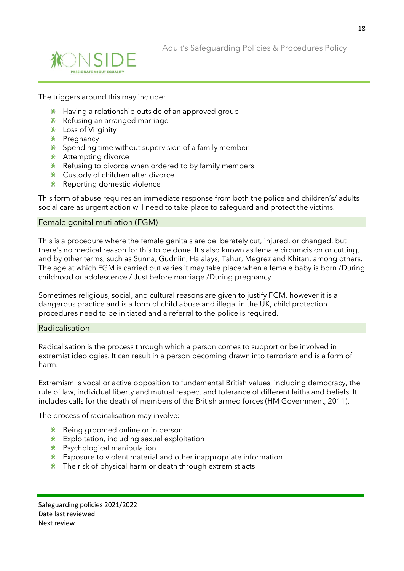![](_page_17_Picture_0.jpeg)

![](_page_17_Picture_1.jpeg)

The triggers around this may include:

- $*$  Having a relationship outside of an approved group
- **K** Refusing an arranged marriage
- Loss of Virginity
- **K** Pregnancy
- $*$  Spending time without supervision of a family member
- **<u>
</u> Attempting divorce**
- $*$  Refusing to divorce when ordered to by family members
- **K** Custody of children after divorce
- <u>**<u></u> Reporting domestic violence**</u>

This form of abuse requires an immediate response from both the police and children's/ adults social care as urgent action will need to take place to safeguard and protect the victims.

#### Female genital mutilation (FGM)

This is a procedure where the female genitals are deliberately cut, injured, or changed, but there's no medical reason for this to be done. It's also known as female circumcision or cutting, and by other terms, such as Sunna, Gudniin, Halalays, Tahur, Megrez and Khitan, among others. The age at which FGM is carried out varies it may take place when a female baby is born /During childhood or adolescence / Just before marriage /During pregnancy.

Sometimes religious, social, and cultural reasons are given to justify FGM, however it is a dangerous practice and is a form of child abuse and illegal in the UK, child protection procedures need to be initiated and a referral to the police is required.

#### Radicalisation

Radicalisation is the process through which a person comes to support or be involved in extremist ideologies. It can result in a person becoming drawn into terrorism and is a form of harm.

Extremism is vocal or active opposition to fundamental British values, including democracy, the rule of law, individual liberty and mutual respect and tolerance of different faiths and beliefs. It includes calls for the death of members of the British armed forces (HM Government, 2011).

The process of radicalisation may involve:

- <u>**<u></u>**<sup>★</sup> Being groomed online or in person</u>
- **K** Exploitation, including sexual exploitation
- Psychological manipulation
- $*$  Exposure to violent material and other inappropriate information
- $*$  The risk of physical harm or death through extremist acts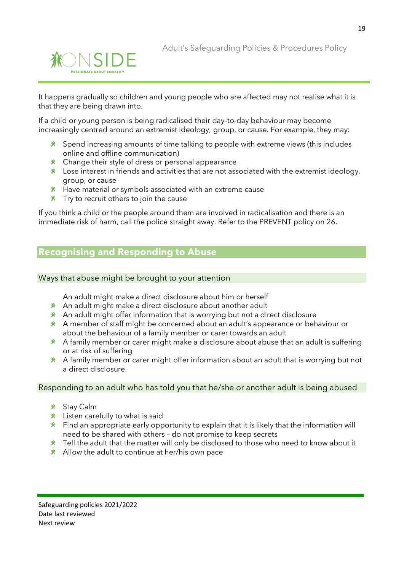![](_page_18_Picture_0.jpeg)

It happens gradually so children and young people who are affected may not realise what it is that they are being drawn into.

If a child or young person is being radicalised their day-to-day behaviour may become increasingly centred around an extremist ideology, group, or cause. For example, they may:

- $*$  Spend increasing amounts of time talking to people with extreme views (this includes online and offline communication)
- $*$  Change their style of dress or personal appearance
- $*$  Lose interest in friends and activities that are not associated with the extremist ideology, group, or cause
- $*$  Have material or symbols associated with an extreme cause
- $*$  Try to recruit others to join the cause

If you think a child or the people around them are involved in radicalisation and there is an immediate risk of harm, call the police straight away. Refer to the PREVENT policy on 26.

## **Recognising and Responding to Abuse**

Ways that abuse might be brought to your attention

An adult might make a direct disclosure about him or herself

- **A** An adult might make a direct disclosure about another adult
- \* An adult might offer information that is worrying but not a direct disclosure
- A member of staff might be concerned about an adult's appearance or behaviour or about the behaviour of a family member or carer towards an adult
- $*$  A family member or carer might make a disclosure about abuse that an adult is suffering or at risk of suffering
- 賽 A family member or carer might offer information about an adult that is worrying but not a direct disclosure.

#### Responding to an adult who has told you that he/she or another adult is being abused

- Stay Calm
- $*$  Listen carefully to what is said
- $*$  Find an appropriate early opportunity to explain that it is likely that the information will need to be shared with others – do not promise to keep secrets
- $*$  Tell the adult that the matter will only be disclosed to those who need to know about it
- **Allow the adult to continue at her/his own pace**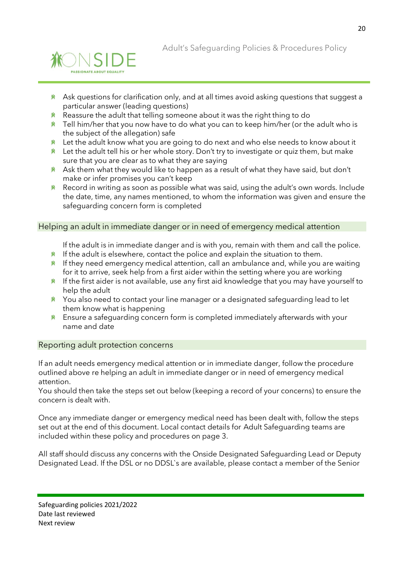![](_page_19_Picture_0.jpeg)

![](_page_19_Picture_1.jpeg)

- $*$  Ask questions for clarification only, and at all times avoid asking questions that suggest a particular answer (leading questions)
- $*$  Reassure the adult that telling someone about it was the right thing to do
- $*$  Tell him/her that you now have to do what you can to keep him/her (or the adult who is the subject of the allegation) safe
- $*$  Let the adult know what you are going to do next and who else needs to know about it
- $*$  Let the adult tell his or her whole story. Don't try to investigate or quiz them, but make sure that you are clear as to what they are saying
- $*$  Ask them what they would like to happen as a result of what they have said, but don't make or infer promises you can't keep
- **K** Record in writing as soon as possible what was said, using the adult's own words. Include the date, time, any names mentioned, to whom the information was given and ensure the safeguarding concern form is completed

#### Helping an adult in immediate danger or in need of emergency medical attention

If the adult is in immediate danger and is with you, remain with them and call the police.

- $*$  If the adult is elsewhere, contact the police and explain the situation to them.
- $*$  If they need emergency medical attention, call an ambulance and, while you are waiting for it to arrive, seek help from a first aider within the setting where you are working
- $*$  If the first aider is not available, use any first aid knowledge that you may have yourself to help the adult
- **\*** You also need to contact your line manager or a designated safeguarding lead to let them know what is happening
- **K** Ensure a safequarding concern form is completed immediately afterwards with your name and date

#### Reporting adult protection concerns

If an adult needs emergency medical attention or in immediate danger, follow the procedure outlined above re helping an adult in immediate danger or in need of emergency medical attention.

You should then take the steps set out below (keeping a record of your concerns) to ensure the concern is dealt with.

Once any immediate danger or emergency medical need has been dealt with, follow the steps set out at the end of this document. Local contact details for Adult Safeguarding teams are included within these policy and procedures on page 3.

All staff should discuss any concerns with the Onside Designated Safeguarding Lead or Deputy Designated Lead. If the DSL or no DDSL`s are available, please contact a member of the Senior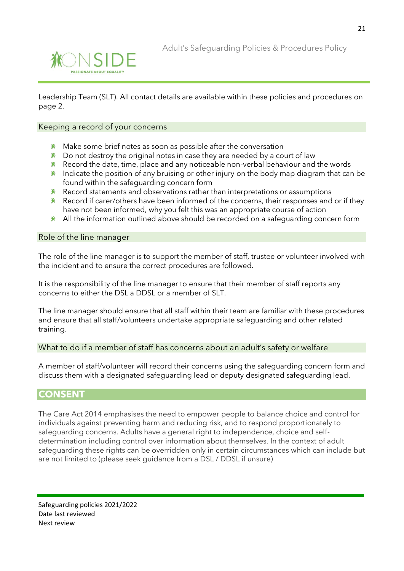![](_page_20_Picture_0.jpeg)

![](_page_20_Picture_1.jpeg)

Leadership Team (SLT). All contact details are available within these policies and procedures on page 2.

#### Keeping a record of your concerns

- $*$  Make some brief notes as soon as possible after the conversation
- $*$  Do not destroy the original notes in case they are needed by a court of law
- $*$  Record the date, time, place and any noticeable non-verbal behaviour and the words
- $*$  Indicate the position of any bruising or other injury on the body map diagram that can be found within the safeguarding concern form
- 箫 Record statements and observations rather than interpretations or assumptions
- $*$  Record if carer/others have been informed of the concerns, their responses and or if they have not been informed, why you felt this was an appropriate course of action
- 滌 All the information outlined above should be recorded on a safeguarding concern form

#### Role of the line manager

The role of the line manager is to support the member of staff, trustee or volunteer involved with the incident and to ensure the correct procedures are followed.

It is the responsibility of the line manager to ensure that their member of staff reports any concerns to either the DSL a DDSL or a member of SLT.

The line manager should ensure that all staff within their team are familiar with these procedures and ensure that all staff/volunteers undertake appropriate safeguarding and other related training.

#### What to do if a member of staff has concerns about an adult's safety or welfare

A member of staff/volunteer will record their concerns using the safeguarding concern form and discuss them with a designated safeguarding lead or deputy designated safeguarding lead.

#### **CONSENT**

The Care Act 2014 emphasises the need to empower people to balance choice and control for individuals against preventing harm and reducing risk, and to respond proportionately to safeguarding concerns. Adults have a general right to independence, choice and selfdetermination including control over information about themselves. In the context of adult safeguarding these rights can be overridden only in certain circumstances which can include but are not limited to (please seek guidance from a DSL / DDSL if unsure)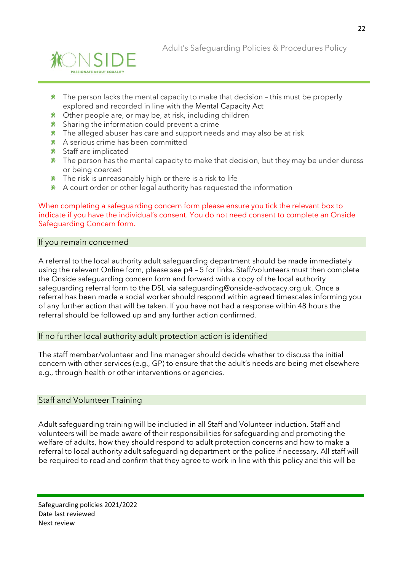![](_page_21_Picture_0.jpeg)

- $*$  The person lacks the mental capacity to make that decision this must be properly explored and recorded in line with the Mental [Capacity](https://www.scie.org.uk/safeguarding/adults/practice/sharing-information#mentalcapacityact) Act
- 賽 Other people are, or may be, at risk, including children
- **K** Sharing the information could prevent a crime
- $*$  The alleged abuser has care and support needs and may also be at risk
- A serious crime has been committed
- Staff are implicated
- $*$  The person has the mental capacity to make that decision, but they may be under duress or being coerced
- $*$  The risk is unreasonably high or there is a risk to life
- $*$  A court order or other legal authority has requested the information

#### When completing a safeguarding concern form please ensure you tick the relevant box to indicate if you have the individual's consent. You do not need consent to complete an Onside Safeguarding Concern form.

#### If you remain concerned

A referral to the local authority adult safeguarding department should be made immediately using the relevant Online form, please see p4 – 5 for links. Staff/volunteers must then complete the Onside safeguarding concern form and forward with a copy of the local authority safeguarding referral form to the DSL via safeguarding@onside-advocacy.org.uk. Once a referral has been made a social worker should respond within agreed timescales informing you of any further action that will be taken. If you have not had a response within 48 hours the referral should be followed up and any further action confirmed.

#### If no further local authority adult protection action is identified

The staff member/volunteer and line manager should decide whether to discuss the initial concern with other services (e.g., GP) to ensure that the adult's needs are being met elsewhere e.g., through health or other interventions or agencies.

#### Staff and Volunteer Training

Adult safeguarding training will be included in all Staff and Volunteer induction. Staff and volunteers will be made aware of their responsibilities for safeguarding and promoting the welfare of adults, how they should respond to adult protection concerns and how to make a referral to local authority adult safeguarding department or the police if necessary. All staff will be required to read and confirm that they agree to work in line with this policy and this will be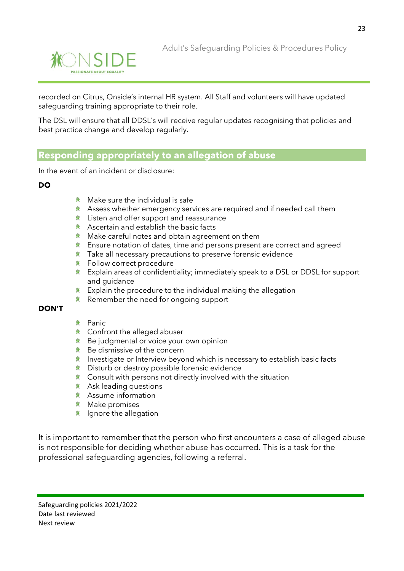![](_page_22_Picture_1.jpeg)

recorded on Citrus, Onside's internal HR system. All Staff and volunteers will have updated safeguarding training appropriate to their role.

The DSL will ensure that all DDSL`s will receive regular updates recognising that policies and best practice change and develop regularly.

## **Responding appropriately to an allegation of abuse**

In the event of an incident or disclosure:

#### **DO**

- $*$  Make sure the individual is safe
- $*$  Assess whether emergency services are required and if needed call them
- **K** Listen and offer support and reassurance
- **K** Ascertain and establish the basic facts
- Make careful notes and obtain agreement on them 眷
- Ensure notation of dates, time and persons present are correct and agreed 眷
- Take all necessary precautions to preserve forensic evidence 眷
- 兼 Follow correct procedure
- 滌 Explain areas of confidentiality; immediately speak to a DSL or DDSL for support and quidance
- 兼 Explain the procedure to the individual making the allegation
- 兼 Remember the need for ongoing support

#### **DON'T**

- **K** Panic
- Confront the alleged abuser
- **K** Be judgmental or voice your own opinion
- $*$  Be dismissive of the concern
- Investigate or Interview beyond which is necessary to establish basic facts 兼
- Disturb or destroy possible forensic evidence 兼
- **K** Consult with persons not directly involved with the situation
- Ask leading questions
- Assume information
- *K* Make promises
- $*$  Ignore the allegation

It is important to remember that the person who first encounters a case of alleged abuse is not responsible for deciding whether abuse has occurred. This is a task for the professional safeguarding agencies, following a referral.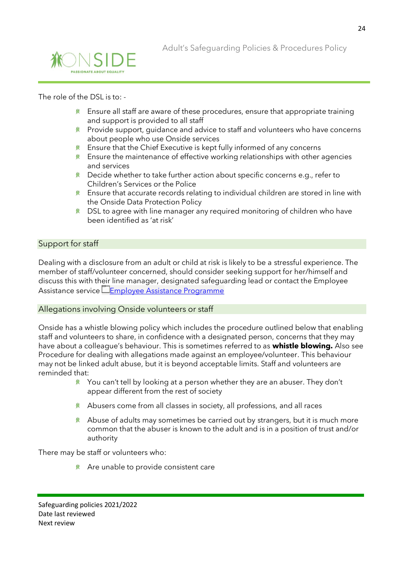![](_page_23_Picture_1.jpeg)

#### The role of the DSL is to: -

- $*$  Ensure all staff are aware of these procedures, ensure that appropriate training and support is provided to all staff
- Provide support, guidance and advice to staff and volunteers who have concerns 眷 about people who use Onside services
- Ensure that the Chief Executive is kept fully informed of any concerns 滌
- $*$  Ensure the maintenance of effective working relationships with other agencies and services
- $*$  Decide whether to take further action about specific concerns e.g., refer to Children's Services or the Police
- $*$  Ensure that accurate records relating to individual children are stored in line with the Onside Data Protection Policy
- **K** DSL to agree with line manager any required monitoring of children who have been identified as 'at risk'

#### Support for staff

Dealing with a disclosure from an adult or child at risk is likely to be a stressful experience. The member of staff/volunteer concerned, should consider seeking support for her/himself and discuss this with their line manager, designated safeguarding lead or contact the Employee Assistance service [Employee Assistance Programme](https://onsideadvocacy.sharepoint.com/:f:/s/NewStarterInductionTeam/EutEYRTwu9BPnb-hj1yH-sMBvCgDK0ammGGMU4q-rB_-sA?e=oNI5jG)

#### Allegations involving Onside volunteers or staff

Onside has a whistle blowing policy which includes the procedure outlined below that enabling staff and volunteers to share, in confidence with a designated person, concerns that they may have about a colleague's behaviour. This is sometimes referred to as **whistle blowing.** Also see Procedure for dealing with allegations made against an employee/volunteer. This behaviour may not be linked adult abuse, but it is beyond acceptable limits. Staff and volunteers are reminded that:

- $*$  You can't tell by looking at a person whether they are an abuser. They don't appear different from the rest of society
- \* Abusers come from all classes in society, all professions, and all races
- $*$  Abuse of adults may sometimes be carried out by strangers, but it is much more common that the abuser is known to the adult and is in a position of trust and/or authority

There may be staff or volunteers who:

 $*$  Are unable to provide consistent care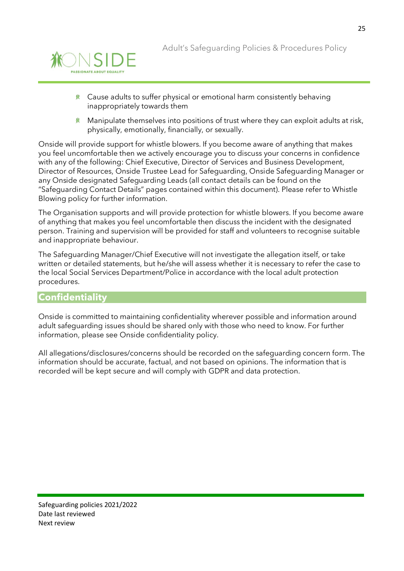![](_page_24_Picture_1.jpeg)

- $*$  Cause adults to suffer physical or emotional harm consistently behaving inappropriately towards them
- Manipulate themselves into positions of trust where they can exploit adults at risk, 脊 physically, emotionally, financially, or sexually.

Onside will provide support for whistle blowers. If you become aware of anything that makes you feel uncomfortable then we actively encourage you to discuss your concerns in confidence with any of the following: Chief Executive, Director of Services and Business Development, Director of Resources, Onside Trustee Lead for Safeguarding, Onside Safeguarding Manager or any Onside designated Safeguarding Leads (all contact details can be found on the "Safeguarding Contact Details" pages contained within this document). Please refer to Whistle Blowing policy for further information.

The Organisation supports and will provide protection for whistle blowers. If you become aware of anything that makes you feel uncomfortable then discuss the incident with the designated person. Training and supervision will be provided for staff and volunteers to recognise suitable and inappropriate behaviour.

The Safeguarding Manager/Chief Executive will not investigate the allegation itself, or take written or detailed statements, but he/she will assess whether it is necessary to refer the case to the local Social Services Department/Police in accordance with the local adult protection procedures.

### **Confidentiality**

Onside is committed to maintaining confidentiality wherever possible and information around adult safeguarding issues should be shared only with those who need to know. For further information, please see Onside confidentiality policy.

All allegations/disclosures/concerns should be recorded on the safeguarding concern form. The information should be accurate, factual, and not based on opinions. The information that is recorded will be kept secure and will comply with GDPR and data protection.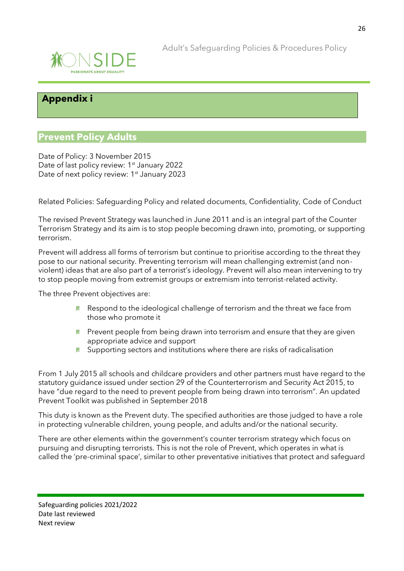![](_page_25_Picture_0.jpeg)

![](_page_25_Picture_1.jpeg)

## **Appendix i**

## **Prevent Policy Adults**

Date of Policy: 3 November 2015 Date of last policy review: 1<sup>st</sup> January 2022 Date of next policy review: 1<sup>st</sup> January 2023

Related Policies: Safeguarding Policy and related documents, Confidentiality, Code of Conduct

The revised Prevent Strategy was launched in June 2011 and is an integral part of the Counter Terrorism Strategy and its aim is to stop people becoming drawn into, promoting, or supporting terrorism.

Prevent will address all forms of terrorism but continue to prioritise according to the threat they pose to our national security. Preventing terrorism will mean challenging extremist (and nonviolent) ideas that are also part of a terrorist's ideology. Prevent will also mean intervening to try to stop people moving from extremist groups or extremism into terrorist-related activity.

The three Prevent objectives are:

- $*$  Respond to the ideological challenge of terrorism and the threat we face from those who promote it
- $*$  Prevent people from being drawn into terrorism and ensure that they are given appropriate advice and support
- $*$  Supporting sectors and institutions where there are risks of radicalisation

From 1 July 2015 all schools and childcare providers and other partners must have regard to the statutory guidance issued under section 29 of the Counterterrorism and Security Act 2015, to have "due regard to the need to prevent people from being drawn into terrorism". An updated Prevent Toolkit was published in September 2018

This duty is known as the Prevent duty. The specified authorities are those judged to have a role in protecting vulnerable children, young people, and adults and/or the national security.

There are other elements within the government's counter terrorism strategy which focus on pursuing and disrupting terrorists. This is not the role of Prevent, which operates in what is called the 'pre-criminal space', similar to other preventative initiatives that protect and safeguard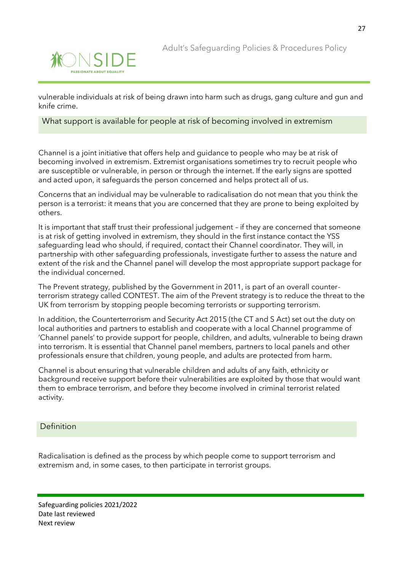![](_page_26_Picture_0.jpeg)

vulnerable individuals at risk of being drawn into harm such as drugs, gang culture and gun and knife crime.

#### What support is available for people at risk of becoming involved in extremism

Channel is a joint initiative that offers help and guidance to people who may be at risk of becoming involved in extremism. Extremist organisations sometimes try to recruit people who are susceptible or vulnerable, in person or through the internet. If the early signs are spotted and acted upon, it safeguards the person concerned and helps protect all of us.

Concerns that an individual may be vulnerable to radicalisation do not mean that you think the person is a terrorist: it means that you are concerned that they are prone to being exploited by others.

It is important that staff trust their professional judgement – if they are concerned that someone is at risk of getting involved in extremism, they should in the first instance contact the YSS safeguarding lead who should, if required, contact their Channel coordinator. They will, in partnership with other safeguarding professionals, investigate further to assess the nature and extent of the risk and the Channel panel will develop the most appropriate support package for the individual concerned.

The Prevent strategy, published by the Government in 2011, is part of an overall counterterrorism strategy called CONTEST. The aim of the Prevent strategy is to reduce the threat to the UK from terrorism by stopping people becoming terrorists or supporting terrorism.

In addition, the Counterterrorism and Security Act 2015 (the CT and S Act) set out the duty on local authorities and partners to establish and cooperate with a local Channel programme of 'Channel panels' to provide support for people, children, and adults, vulnerable to being drawn into terrorism. It is essential that Channel panel members, partners to local panels and other professionals ensure that children, young people, and adults are protected from harm.

Channel is about ensuring that vulnerable children and adults of any faith, ethnicity or background receive support before their vulnerabilities are exploited by those that would want them to embrace terrorism, and before they become involved in criminal terrorist related activity.

#### **Definition**

Radicalisation is defined as the process by which people come to support terrorism and extremism and, in some cases, to then participate in terrorist groups.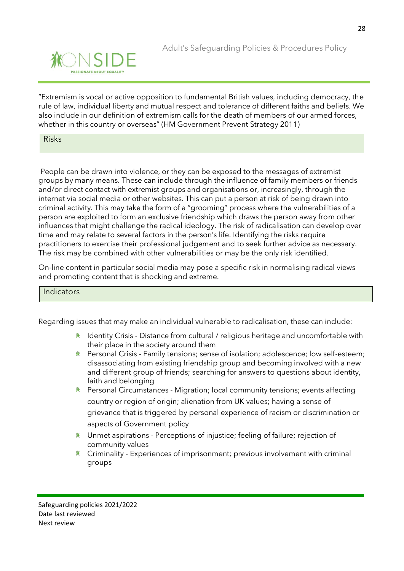![](_page_27_Picture_0.jpeg)

"Extremism is vocal or active opposition to fundamental British values, including democracy, the rule of law, individual liberty and mutual respect and tolerance of different faiths and beliefs. We also include in our definition of extremism calls for the death of members of our armed forces, whether in this country or overseas" (HM Government Prevent Strategy 2011)

#### Risks

People can be drawn into violence, or they can be exposed to the messages of extremist groups by many means. These can include through the influence of family members or friends and/or direct contact with extremist groups and organisations or, increasingly, through the internet via social media or other websites. This can put a person at risk of being drawn into criminal activity. This may take the form of a "grooming" process where the vulnerabilities of a person are exploited to form an exclusive friendship which draws the person away from other influences that might challenge the radical ideology. The risk of radicalisation can develop over time and may relate to several factors in the person's life. Identifying the risks require practitioners to exercise their professional judgement and to seek further advice as necessary. The risk may be combined with other vulnerabilities or may be the only risk identified.

On-line content in particular social media may pose a specific risk in normalising radical views and promoting content that is shocking and extreme.

#### Indicators

Regarding issues that may make an individual vulnerable to radicalisation, these can include:

- **K** Identity Crisis Distance from cultural / religious heritage and uncomfortable with their place in the society around them
- Personal Crisis Family tensions; sense of isolation; adolescence; low self-esteem; disassociating from existing friendship group and becoming involved with a new and different group of friends; searching for answers to questions about identity, faith and belonging
- **\*** Personal Circumstances Migration; local community tensions; events affecting country or region of origin; alienation from UK values; having a sense of grievance that is triggered by personal experience of racism or discrimination or aspects of Government policy
- Unmet aspirations Perceptions of injustice; feeling of failure; rejection of community values
- $*$  Criminality Experiences of imprisonment; previous involvement with criminal groups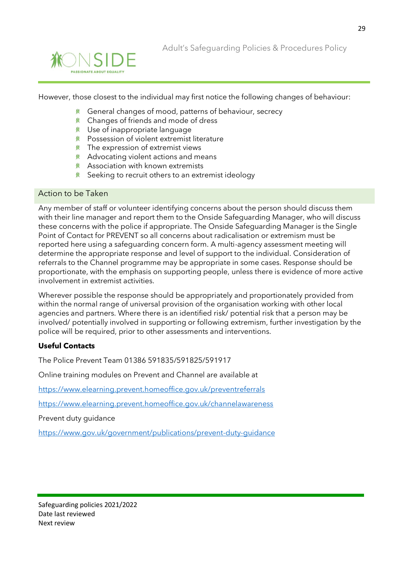![](_page_28_Picture_0.jpeg)

![](_page_28_Picture_1.jpeg)

However, those closest to the individual may first notice the following changes of behaviour:

- 賽 General changes of mood, patterns of behaviour, secrecy
- Changes of friends and mode of dress
- Use of inappropriate language
- **K** Possession of violent extremist literature
- $*$  The expression of extremist views
- Advocating violent actions and means
- Association with known extremists
- **K** Seeking to recruit others to an extremist ideology

#### Action to be Taken

Any member of staff or volunteer identifying concerns about the person should discuss them with their line manager and report them to the Onside Safeguarding Manager, who will discuss these concerns with the police if appropriate. The Onside Safeguarding Manager is the Single Point of Contact for PREVENT so all concerns about radicalisation or extremism must be reported here using a safeguarding concern form. A multi-agency assessment meeting will determine the appropriate response and level of support to the individual. Consideration of referrals to the Channel programme may be appropriate in some cases. Response should be proportionate, with the emphasis on supporting people, unless there is evidence of more active involvement in extremist activities.

Wherever possible the response should be appropriately and proportionately provided from within the normal range of universal provision of the organisation working with other local agencies and partners. Where there is an identified risk/ potential risk that a person may be involved/ potentially involved in supporting or following extremism, further investigation by the police will be required, prior to other assessments and interventions.

#### **Useful Contacts**

The Police Prevent Team 01386 591835/591825/591917

Online training modules on Prevent and Channel are available at

<https://www.elearning.prevent.homeoffice.gov.uk/preventreferrals>

<https://www.elearning.prevent.homeoffice.gov.uk/channelawareness>

Prevent duty guidance

<https://www.gov.uk/government/publications/prevent-duty-guidance>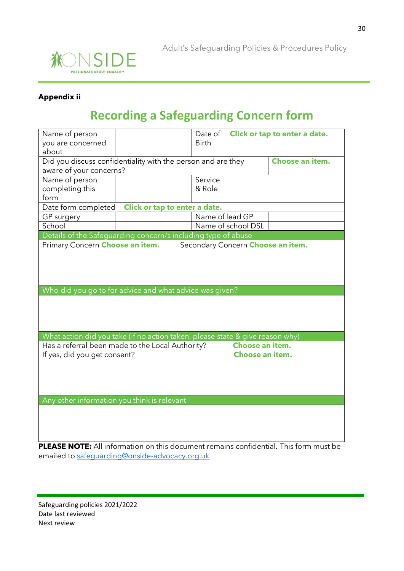![](_page_29_Picture_0.jpeg)

![](_page_29_Picture_1.jpeg)

### **Appendix ii**

## **Recording a Safeguarding Concern form**

| Name of person<br>you are concerned<br>about                                    |                                                                               | Date of<br><b>Birth</b> |                                   | Click or tap to enter a date. |  |  |
|---------------------------------------------------------------------------------|-------------------------------------------------------------------------------|-------------------------|-----------------------------------|-------------------------------|--|--|
| Did you discuss confidentiality with the person and are they<br>Choose an item. |                                                                               |                         |                                   |                               |  |  |
| aware of your concerns?                                                         |                                                                               |                         |                                   |                               |  |  |
| Name of person                                                                  |                                                                               | Service                 |                                   |                               |  |  |
| completing this                                                                 |                                                                               | & Role                  |                                   |                               |  |  |
| form                                                                            |                                                                               |                         |                                   |                               |  |  |
| Date form completed                                                             | Click or tap to enter a date.                                                 |                         |                                   |                               |  |  |
| GP surgery                                                                      |                                                                               | Name of lead GP         |                                   |                               |  |  |
| School                                                                          |                                                                               |                         | Name of school DSL                |                               |  |  |
|                                                                                 | Details of the Safeguarding concern/s including type of abuse                 |                         |                                   |                               |  |  |
| Primary Concern Choose an item.                                                 |                                                                               |                         | Secondary Concern Choose an item. |                               |  |  |
|                                                                                 |                                                                               |                         |                                   |                               |  |  |
|                                                                                 |                                                                               |                         |                                   |                               |  |  |
|                                                                                 | Who did you go to for advice and what advice was given?                       |                         |                                   |                               |  |  |
|                                                                                 |                                                                               |                         |                                   |                               |  |  |
|                                                                                 |                                                                               |                         |                                   |                               |  |  |
|                                                                                 |                                                                               |                         |                                   |                               |  |  |
|                                                                                 |                                                                               |                         |                                   |                               |  |  |
|                                                                                 | What action did you take (if no action taken, please state & give reason why) |                         | Choose an item.                   |                               |  |  |
|                                                                                 | Has a referral been made to the Local Authority?                              |                         |                                   |                               |  |  |
| Choose an item.<br>If yes, did you get consent?                                 |                                                                               |                         |                                   |                               |  |  |
|                                                                                 |                                                                               |                         |                                   |                               |  |  |
|                                                                                 |                                                                               |                         |                                   |                               |  |  |
|                                                                                 |                                                                               |                         |                                   |                               |  |  |
|                                                                                 |                                                                               |                         |                                   |                               |  |  |
| Any other information you think is relevant                                     |                                                                               |                         |                                   |                               |  |  |
|                                                                                 |                                                                               |                         |                                   |                               |  |  |
|                                                                                 |                                                                               |                         |                                   |                               |  |  |
|                                                                                 |                                                                               |                         |                                   |                               |  |  |

**PLEASE NOTE:** All information on this document remains confidential. This form must be emailed to [safeguarding@onside-advocacy.org.uk](mailto:safeguarding@onside-advocacy.org.uk)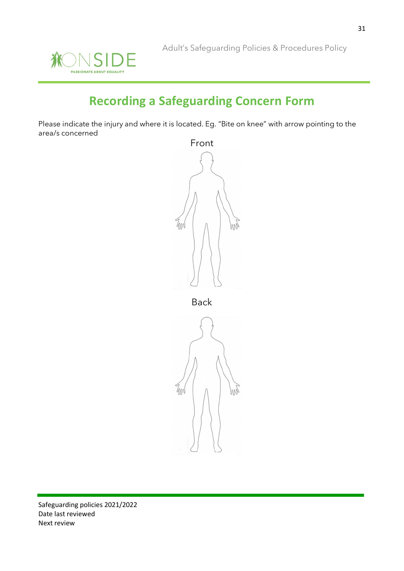![](_page_30_Picture_1.jpeg)

# **Recording a Safeguarding Concern Form**

Please indicate the injury and where it is located. Eg. "Bite on knee" with arrow pointing to the area/s concerned

![](_page_30_Figure_4.jpeg)

Back

![](_page_30_Picture_6.jpeg)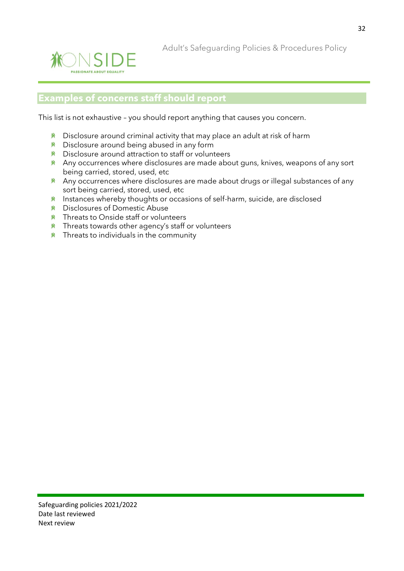![](_page_31_Picture_0.jpeg)

Adult's Safeguarding Policies & Procedures Policy

## **Examples of concerns staff should report**

This list is not exhaustive – you should report anything that causes you concern.

- $*$  Disclosure around criminal activity that may place an adult at risk of harm
- **K** Disclosure around being abused in any form
- Disclosure around attraction to staff or volunteers
- $*$  Any occurrences where disclosures are made about guns, knives, weapons of any sort being carried, stored, used, etc
- **Any occurrences where disclosures are made about drugs or illegal substances of any** sort being carried, stored, used, etc
- **Instances whereby thoughts or occasions of self-harm, suicide, are disclosed**
- Disclosures of Domestic Abuse
- **K** Threats to Onside staff or volunteers
- **K** Threats towards other agency's staff or volunteers
- $*$  Threats to individuals in the community

32